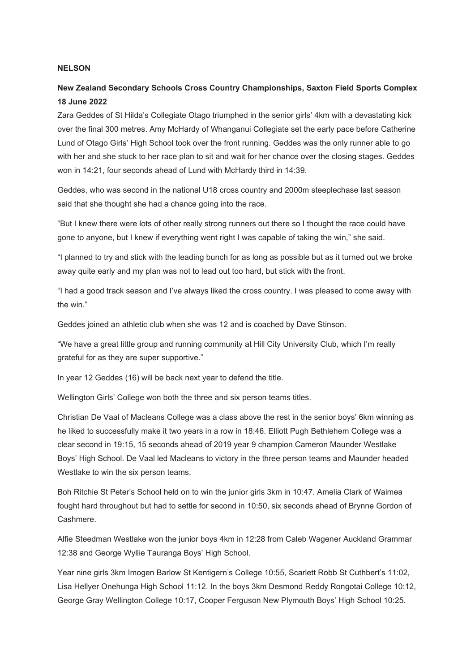#### **NELSON**

## **New Zealand Secondary Schools Cross Country Championships, Saxton Field Sports Complex 18 June 2022**

Zara Geddes of St Hilda's Collegiate Otago triumphed in the senior girls' 4km with a devastating kick over the final 300 metres. Amy McHardy of Whanganui Collegiate set the early pace before Catherine Lund of Otago Girls' High School took over the front running. Geddes was the only runner able to go with her and she stuck to her race plan to sit and wait for her chance over the closing stages. Geddes won in 14:21, four seconds ahead of Lund with McHardy third in 14:39.

Geddes, who was second in the national U18 cross country and 2000m steeplechase last season said that she thought she had a chance going into the race.

"But I knew there were lots of other really strong runners out there so I thought the race could have gone to anyone, but I knew if everything went right I was capable of taking the win," she said.

"I planned to try and stick with the leading bunch for as long as possible but as it turned out we broke away quite early and my plan was not to lead out too hard, but stick with the front.

"I had a good track season and I've always liked the cross country. I was pleased to come away with the win."

Geddes joined an athletic club when she was 12 and is coached by Dave Stinson.

"We have a great little group and running community at Hill City University Club, which I'm really grateful for as they are super supportive."

In year 12 Geddes (16) will be back next year to defend the title.

Wellington Girls' College won both the three and six person teams titles.

Christian De Vaal of Macleans College was a class above the rest in the senior boys' 6km winning as he liked to successfully make it two years in a row in 18:46. Elliott Pugh Bethlehem College was a clear second in 19:15, 15 seconds ahead of 2019 year 9 champion Cameron Maunder Westlake Boys' High School. De Vaal led Macleans to victory in the three person teams and Maunder headed Westlake to win the six person teams.

Boh Ritchie St Peter's School held on to win the junior girls 3km in 10:47. Amelia Clark of Waimea fought hard throughout but had to settle for second in 10:50, six seconds ahead of Brynne Gordon of Cashmere.

Alfie Steedman Westlake won the junior boys 4km in 12:28 from Caleb Wagener Auckland Grammar 12:38 and George Wyllie Tauranga Boys' High School.

Year nine girls 3km Imogen Barlow St Kentigern's College 10:55, Scarlett Robb St Cuthbert's 11:02, Lisa Hellyer Onehunga High School 11:12. In the boys 3km Desmond Reddy Rongotai College 10:12, George Gray Wellington College 10:17, Cooper Ferguson New Plymouth Boys' High School 10:25.